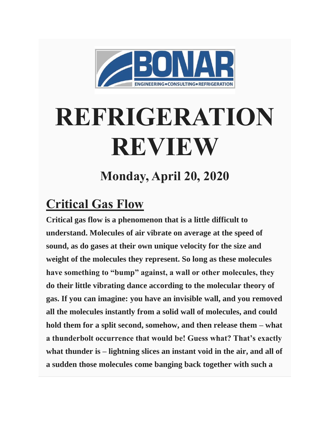

## **REFRIGERATION REVIEW**

**Monday, April 20, 2020**

## **Critical Gas Flow**

**Critical gas flow is a phenomenon that is a little difficult to understand. Molecules of air vibrate on average at the speed of sound, as do gases at their own unique velocity for the size and weight of the molecules they represent. So long as these molecules have something to "bump" against, a wall or other molecules, they do their little vibrating dance according to the molecular theory of gas. If you can imagine: you have an invisible wall, and you removed all the molecules instantly from a solid wall of molecules, and could hold them for a split second, somehow, and then release them – what a thunderbolt occurrence that would be! Guess what? That's exactly what thunder is – lightning slices an instant void in the air, and all of a sudden those molecules come banging back together with such a**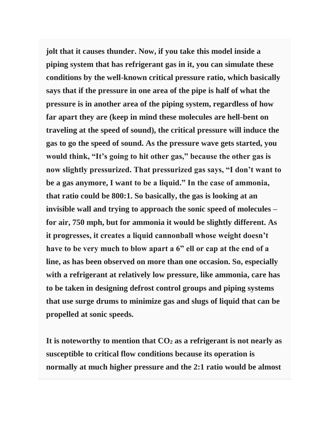**jolt that it causes thunder. Now, if you take this model inside a piping system that has refrigerant gas in it, you can simulate these conditions by the well-known critical pressure ratio, which basically says that if the pressure in one area of the pipe is half of what the pressure is in another area of the piping system, regardless of how far apart they are (keep in mind these molecules are hell-bent on traveling at the speed of sound), the critical pressure will induce the gas to go the speed of sound. As the pressure wave gets started, you would think, "It's going to hit other gas," because the other gas is now slightly pressurized. That pressurized gas says, "I don't want to be a gas anymore, I want to be a liquid." In the case of ammonia, that ratio could be 800:1. So basically, the gas is looking at an invisible wall and trying to approach the sonic speed of molecules – for air, 750 mph, but for ammonia it would be slightly different. As it progresses, it creates a liquid cannonball whose weight doesn't have to be very much to blow apart a 6" ell or cap at the end of a line, as has been observed on more than one occasion. So, especially with a refrigerant at relatively low pressure, like ammonia, care has to be taken in designing defrost control groups and piping systems that use surge drums to minimize gas and slugs of liquid that can be propelled at sonic speeds.**

**It is noteworthy to mention that CO<sup>2</sup> as a refrigerant is not nearly as susceptible to critical flow conditions because its operation is normally at much higher pressure and the 2:1 ratio would be almost**